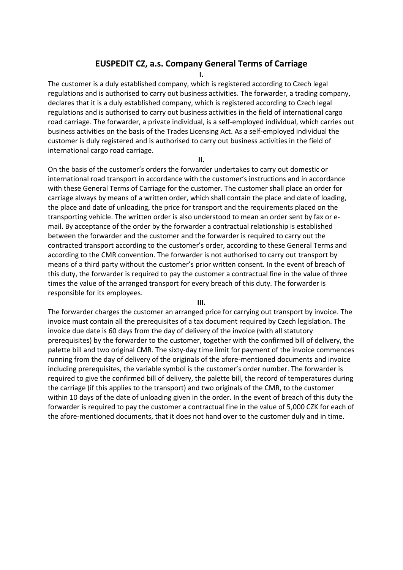# **EUSPEDIT CZ, a.s. Company General Terms of Carriage**

**I.**

The customer is a duly established company, which is registered according to Czech legal regulations and is authorised to carry out business activities. The forwarder, a trading company, declares that it is a duly established company, which is registered according to Czech legal regulations and is authorised to carry out business activities in the field of international cargo road carriage. The forwarder, a private individual, is a self-employed individual, which carries out business activities on the basis of the Trades Licensing Act. As a self-employed individual the customer is duly registered and is authorised to carry out business activities in the field of international cargo road carriage.

**II.**

On the basis of the customer's orders the forwarder undertakes to carry out domestic or international road transport in accordance with the customer's instructions and in accordance with these General Terms of Carriage for the customer. The customer shall place an order for carriage always by means of a written order, which shall contain the place and date of loading, the place and date of unloading, the price for transport and the requirements placed on the transporting vehicle. The written order is also understood to mean an order sent by fax or email. By acceptance of the order by the forwarder a contractual relationship is established between the forwarder and the customer and the forwarder is required to carry out the contracted transport according to the customer's order, according to these General Terms and according to the CMR convention. The forwarder is not authorised to carry out transport by means of a third party without the customer's prior written consent. In the event of breach of this duty, the forwarder is required to pay the customer a contractual fine in the value of three times the value of the arranged transport for every breach of this duty. The forwarder is responsible for its employees.

#### **III.**

The forwarder charges the customer an arranged price for carrying out transport by invoice. The invoice must contain all the prerequisites of a tax document required by Czech legislation. The invoice due date is 60 days from the day of delivery of the invoice (with all statutory prerequisites) by the forwarder to the customer, together with the confirmed bill of delivery, the palette bill and two original CMR. The sixty-day time limit for payment of the invoice commences running from the day of delivery of the originals of the afore-mentioned documents and invoice including prerequisites, the variable symbol is the customer's order number. The forwarder is required to give the confirmed bill of delivery, the palette bill, the record of temperatures during the carriage (if this applies to the transport) and two originals of the CMR, to the customer within 10 days of the date of unloading given in the order. In the event of breach of this duty the forwarder is required to pay the customer a contractual fine in the value of 5,000 CZK for each of the afore-mentioned documents, that it does not hand over to the customer duly and in time.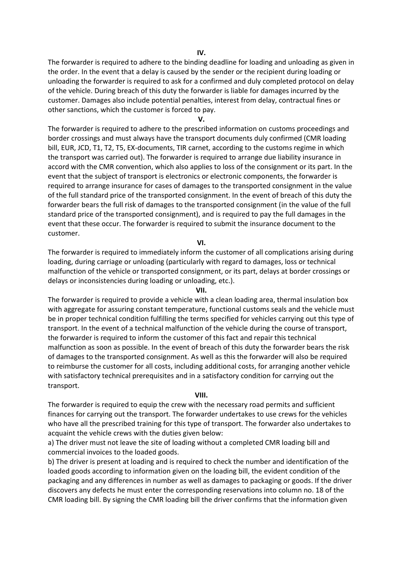The forwarder is required to adhere to the binding deadline for loading and unloading as given in the order. In the event that a delay is caused by the sender or the recipient during loading or unloading the forwarder is required to ask for a confirmed and duly completed protocol on delay of the vehicle. During breach of this duty the forwarder is liable for damages incurred by the customer. Damages also include potential penalties, interest from delay, contractual fines or other sanctions, which the customer is forced to pay.

**V.**

The forwarder is required to adhere to the prescribed information on customs proceedings and border crossings and must always have the transport documents duly confirmed (CMR loading bill, EUR, JCD, T1, T2, T5, EX-documents, TIR carnet, according to the customs regime in which the transport was carried out). The forwarder is required to arrange due liability insurance in accord with the CMR convention, which also applies to loss of the consignment or its part. In the event that the subject of transport is electronics or electronic components, the forwarder is required to arrange insurance for cases of damages to the transported consignment in the value of the full standard price of the transported consignment. In the event of breach of this duty the forwarder bears the full risk of damages to the transported consignment (in the value of the full standard price of the transported consignment), and is required to pay the full damages in the event that these occur. The forwarder is required to submit the insurance document to the customer.

## **VI.**

The forwarder is required to immediately inform the customer of all complications arising during loading, during carriage or unloading (particularly with regard to damages, loss or technical malfunction of the vehicle or transported consignment, or its part, delays at border crossings or delays or inconsistencies during loading or unloading, etc.).

### **VII.**

The forwarder is required to provide a vehicle with a clean loading area, thermal insulation box with aggregate for assuring constant temperature, functional customs seals and the vehicle must be in proper technical condition fulfilling the terms specified for vehicles carrying out this type of transport. In the event of a technical malfunction of the vehicle during the course of transport, the forwarder is required to inform the customer of this fact and repair this technical malfunction as soon as possible. In the event of breach of this duty the forwarder bears the risk of damages to the transported consignment. As well as this the forwarder will also be required to reimburse the customer for all costs, including additional costs, for arranging another vehicle with satisfactory technical prerequisites and in a satisfactory condition for carrying out the transport.

#### **VIII.**

The forwarder is required to equip the crew with the necessary road permits and sufficient finances for carrying out the transport. The forwarder undertakes to use crews for the vehicles who have all the prescribed training for this type of transport. The forwarder also undertakes to acquaint the vehicle crews with the duties given below:

a) The driver must not leave the site of loading without a completed CMR loading bill and commercial invoices to the loaded goods.

b) The driver is present at loading and is required to check the number and identification of the loaded goods according to information given on the loading bill, the evident condition of the packaging and any differences in number as well as damages to packaging or goods. If the driver discovers any defects he must enter the corresponding reservations into column no. 18 of the CMR loading bill. By signing the CMR loading bill the driver confirms that the information given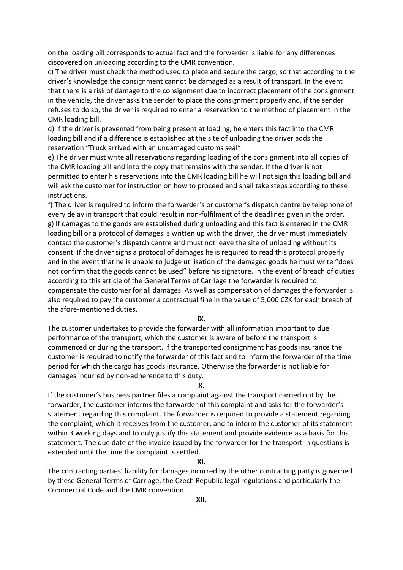on the loading bill corresponds to actual fact and the forwarder is liable for any differences discovered on unloading according to the CMR convention.

c) The driver must check the method used to place and secure the cargo, so that according to the driver's knowledge the consignment cannot be damaged as a result of transport. In the event that there is a risk of damage to the consignment due to incorrect placement of the consignment in the vehicle, the driver asks the sender to place the consignment properly and, if the sender refuses to do so, the driver is required to enter a reservation to the method of placement in the CMR loading bill.

d) If the driver is prevented from being present at loading, he enters this fact into the CMR loading bill and if a difference is established at the site of unloading the driver adds the reservation "Truck arrived with an undamaged customs seal".

e) The driver must write all reservations regarding loading of the consignment into all copies of the CMR loading bill and into the copy that remains with the sender. If the driver is not permitted to enter his reservations into the CMR loading bill he will not sign this loading bill and will ask the customer for instruction on how to proceed and shall take steps according to these instructions.

f) The driver is required to inform the forwarder's or customer's dispatch centre by telephone of every delay in transport that could result in non-fulfilment of the deadlines given in the order. g) If damages to the goods are established during unloading and this fact is entered in the CMR loading bill or a protocol of damages is written up with the driver, the driver must immediately contact the customer's dispatch centre and must not leave the site of unloading without its consent. If the driver signs a protocol of damages he is required to read this protocol properly and in the event that he is unable to judge utilisation of the damaged goods he must write "does not confirm that the goods cannot be used" before his signature. In the event of breach of duties according to this article of the General Terms of Carriage the forwarder is required to compensate the customer for all damages. As well as compensation of damages the forwarder is also required to pay the customer a contractual fine in the value of 5,000 CZK for each breach of the afore-mentioned duties.

**IX.**

The customer undertakes to provide the forwarder with all information important to due performance of the transport, which the customer is aware of before the transport is commenced or during the transport. If the transported consignment has goods insurance the customer is required to notify the forwarder of this fact and to inform the forwarder of the time period for which the cargo has goods insurance. Otherwise the forwarder is not liable for damages incurred by non-adherence to this duty.

**X.**

If the customer's business partner files a complaint against the transport carried out by the forwarder, the customer informs the forwarder of this complaint and asks for the forwarder's statement regarding this complaint. The forwarder is required to provide a statement regarding the complaint, which it receives from the customer, and to inform the customer of its statement within 3 working days and to duly justify this statement and provide evidence as a basis for this statement. The due date of the invoice issued by the forwarder for the transport in questions is extended until the time the complaint is settled.

### **XI.**

The contracting parties' liability for damages incurred by the other contracting party is governed by these General Terms of Carriage, the Czech Republic legal regulations and particularly the Commercial Code and the CMR convention.